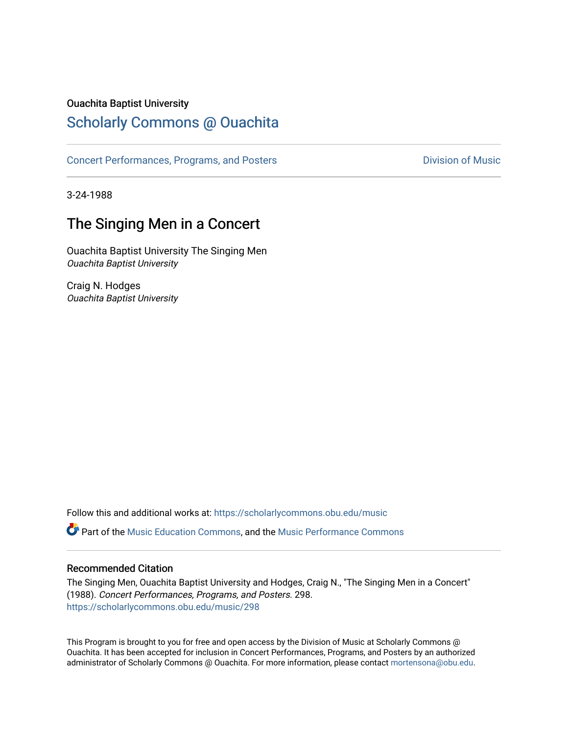### Ouachita Baptist University

### [Scholarly Commons @ Ouachita](https://scholarlycommons.obu.edu/)

[Concert Performances, Programs, and Posters](https://scholarlycommons.obu.edu/music) **Division of Music** Division of Music

3-24-1988

### The Singing Men in a Concert

Ouachita Baptist University The Singing Men Ouachita Baptist University

Craig N. Hodges Ouachita Baptist University

Follow this and additional works at: [https://scholarlycommons.obu.edu/music](https://scholarlycommons.obu.edu/music?utm_source=scholarlycommons.obu.edu%2Fmusic%2F298&utm_medium=PDF&utm_campaign=PDFCoverPages)  Part of the [Music Education Commons,](http://network.bepress.com/hgg/discipline/1246?utm_source=scholarlycommons.obu.edu%2Fmusic%2F298&utm_medium=PDF&utm_campaign=PDFCoverPages) and the [Music Performance Commons](http://network.bepress.com/hgg/discipline/1128?utm_source=scholarlycommons.obu.edu%2Fmusic%2F298&utm_medium=PDF&utm_campaign=PDFCoverPages) 

#### Recommended Citation

The Singing Men, Ouachita Baptist University and Hodges, Craig N., "The Singing Men in a Concert" (1988). Concert Performances, Programs, and Posters. 298. [https://scholarlycommons.obu.edu/music/298](https://scholarlycommons.obu.edu/music/298?utm_source=scholarlycommons.obu.edu%2Fmusic%2F298&utm_medium=PDF&utm_campaign=PDFCoverPages) 

This Program is brought to you for free and open access by the Division of Music at Scholarly Commons @ Ouachita. It has been accepted for inclusion in Concert Performances, Programs, and Posters by an authorized administrator of Scholarly Commons @ Ouachita. For more information, please contact [mortensona@obu.edu](mailto:mortensona@obu.edu).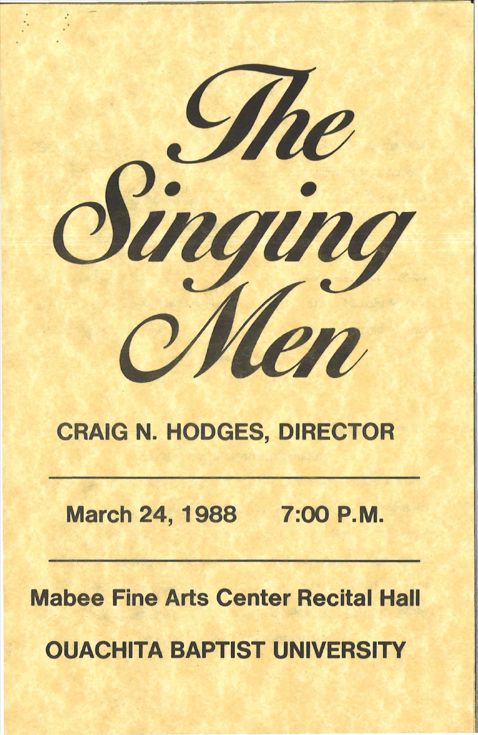

## **CRAIG N. HODGES, DIRECTOR**

## March 24, 1988 7:00 P.M.

# **Mabee Fine Arts Center Recital Hall OUACHITA BAPTIST UNIVERSITY**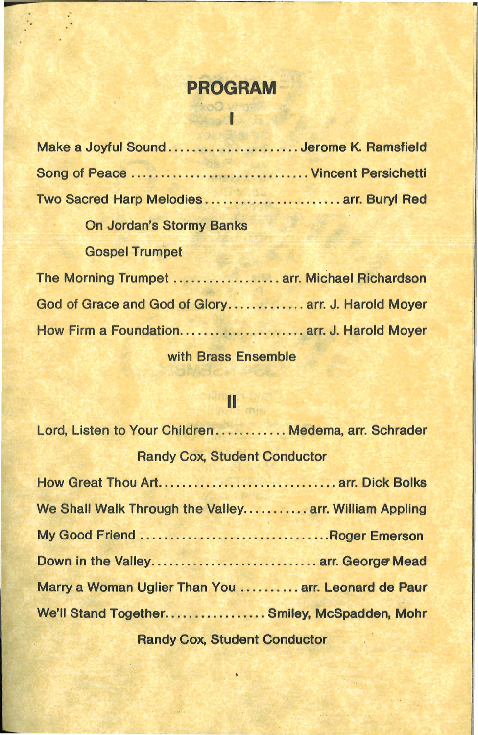## **PROGRAM**

÷.

## Roomer

| Make a Joyful Sound Jerome K. Ramsfield            |  |
|----------------------------------------------------|--|
| Song of Peace  Vincent Persichetti                 |  |
| Two Sacred Harp Melodies arr. Buryl Red            |  |
| <b>On Jordan's Stormy Banks</b>                    |  |
| <b>Gospel Trumpet</b>                              |  |
| The Morning Trumpet  arr. Michael Richardson       |  |
| God of Grace and God of Glory arr. J. Harold Moyer |  |
| How Firm a Foundation arr. J. Harold Moyer         |  |

with Brass Ensemble

# II

| Lord, Listen to Your Children Medema, arr. Schrader   |  |
|-------------------------------------------------------|--|
| <b>Randy Cox, Student Conductor</b>                   |  |
| How Great Thou Art arr. Dick Bolks                    |  |
| We Shall Walk Through the Valley arr. William Appling |  |
| My Good Friend Roger Emerson                          |  |
| Down in the Valley arr. George Mead                   |  |
| Marry a Woman Uglier Than You  arr. Leonard de Paur   |  |
| We'll Stand Together Smiley, McSpadden, Mohr          |  |
| <b>Randy Cox, Student Conductor</b>                   |  |